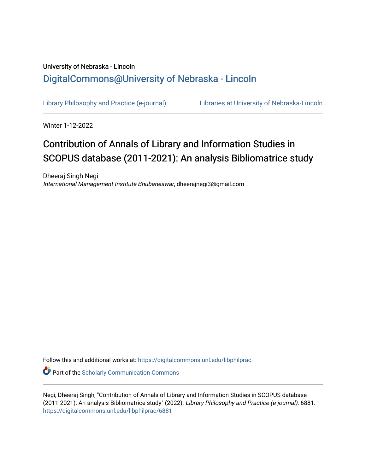## University of Nebraska - Lincoln [DigitalCommons@University of Nebraska - Lincoln](https://digitalcommons.unl.edu/)

[Library Philosophy and Practice \(e-journal\)](https://digitalcommons.unl.edu/libphilprac) [Libraries at University of Nebraska-Lincoln](https://digitalcommons.unl.edu/libraries) 

Winter 1-12-2022

# Contribution of Annals of Library and Information Studies in SCOPUS database (2011-2021): An analysis Bibliomatrice study

Dheeraj Singh Negi International Management Institute Bhubaneswar, dheerajnegi3@gmail.com

Follow this and additional works at: [https://digitalcommons.unl.edu/libphilprac](https://digitalcommons.unl.edu/libphilprac?utm_source=digitalcommons.unl.edu%2Flibphilprac%2F6881&utm_medium=PDF&utm_campaign=PDFCoverPages) 

**C** Part of the Scholarly Communication Commons

Negi, Dheeraj Singh, "Contribution of Annals of Library and Information Studies in SCOPUS database (2011-2021): An analysis Bibliomatrice study" (2022). Library Philosophy and Practice (e-journal). 6881. [https://digitalcommons.unl.edu/libphilprac/6881](https://digitalcommons.unl.edu/libphilprac/6881?utm_source=digitalcommons.unl.edu%2Flibphilprac%2F6881&utm_medium=PDF&utm_campaign=PDFCoverPages)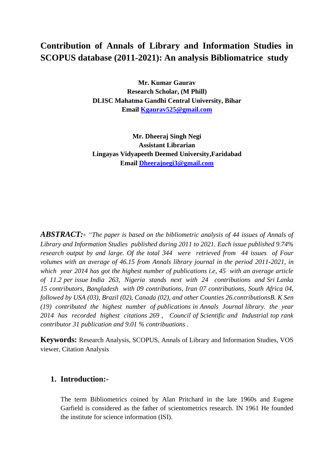## **Contribution of Annals of Library and Information Studies in SCOPUS database (2011-2021): An analysis Bibliomatrice study**

**Mr. Kumar Gaurav Research Scholar, (M Phill) DLISC Mahatma Gandhi Central University, Bihar Email [Kgaurav525@gmail.com](mailto:Kgaurav525@gmail.com)**

**Mr. Dheeraj Singh Negi Assistant Librarian Lingayas Vidyapeeth Deemed University,Faridabad Email [Dheerajnegi3@gmail.com](mailto:Dheerajnegi3@gmail.com)**

*ABSTRACT:- "The paper is based on the bibliometric analysis of 44 issues of Annals of Library and Information Studies published during 2011 to 2021. Each issue published 9.74% research output by and large. Of the total 344 were retrieved from 44 issues of Four volumes with an average of 46.15 from Annals library journal in the period 2011-2021, in which year 2014 has got the highest number of publications i.e, 45 with an average article of 11.2 per issue India 263, Nigeria stands next with 24 contributions and Sri Lanka 15 contributors, Bangladesh with 09 contributions, Iran 07 contributions, South Africa 04, followed by USA (03), Brazil (02), Canada (02), and other Counties 26.contributionsB. K Sen (19) contributed the highest number of publications in Annals Journal library. the year 2014 has recorded highest citations 269 , Council of Scientific and Industrial top rank contributor 31 publication and 9.01 % contribuations .*

**Keywords:** Research Analysis, SCOPUS, Annals of Library and Information Studies, VOS viewer, Citation Analysis

### **1. Introduction:-**

The term Bibliometrics coined by Alan Pritchard in the late 1960s and Eugene Garfield is considered as the father of scientometrics research. IN 1961 He founded the institute for science information (ISI).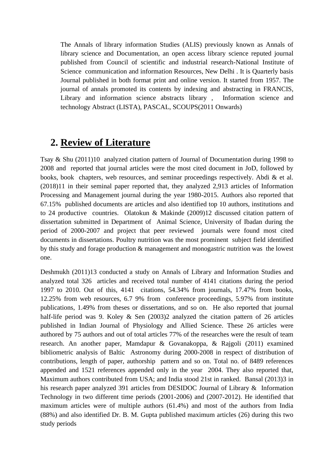The Annals of library information Studies (ALIS) previously known as Annals of library science and Documentation, an open access library science reputed journal published from Council of scientific and industrial research-National Institute of Science communication and information Resources, New Delhi . It is Quarterly basis Journal published in both format print and online version. It started from 1957. The journal of annals promoted its contents by indexing and abstracting in FRANCIS, Library and information science abstracts library , Information science and technology Abstract (LISTA), PASCAL, SCOUPS(2011 Onwards)

## **2. Review of Literature**

Tsay & Shu (2011)10 analyzed citation pattern of Journal of Documentation during 1998 to 2008 and reported that journal articles were the most cited document in JoD, followed by books, book chapters, web resources, and seminar proceedings respectively. Abdi & et al. (2018)11 in their seminal paper reported that, they analyzed 2,913 articles of Information Processing and Management journal during the year 1980-2015. Authors also reported that 67.15% published documents are articles and also identified top 10 authors, institutions and to 24 productive countries. Olatokun & Makinde (2009)12 discussed citation pattern of dissertation submitted in Department of Animal Science, University of Ibadan during the period of 2000-2007 and project that peer reviewed journals were found most cited documents in dissertations. Poultry nutrition was the most prominent subject field identified by this study and forage production & management and monogastric nutrition was the lowest one.

Deshmukh (2011)13 conducted a study on Annals of Library and Information Studies and analyzed total 326 articles and received total number of 4141 citations during the period 1997 to 2010. Out of this, 4141 citations, 54.34% from journals, 17.47% from books, 12.25% from web resources, 6.7 9% from conference proceedings, 5.97% from institute publications, 1.49% from theses or dissertations, and so on. He also reported that journal half-life period was 9. Koley & Sen (2003)2 analyzed the citation pattern of 26 articles published in Indian Journal of Physiology and Allied Science. These 26 articles were authored by 75 authors and out of total articles 77% of the researches were the result of team research. An another paper, Mamdapur & Govanakoppa, & Rajgoli (2011) examined bibliometric analysis of Baltic Astronomy during 2000-2008 in respect of distribution of contributions, length of paper, authorship pattern and so on. Total no. of 8489 references appended and 1521 references appended only in the year 2004. They also reported that, Maximum authors contributed from USA; and India stood 21st in ranked. Bansal (2013)3 in his research paper analyzed 391 articles from DESIDOC Journal of Library & Information Technology in two different time periods (2001-2006) and (2007-2012). He identified that maximum articles were of multiple authors (61.4%) and most of the authors from India (88%) and also identified Dr. B. M. Gupta published maximum articles (26) during this two study periods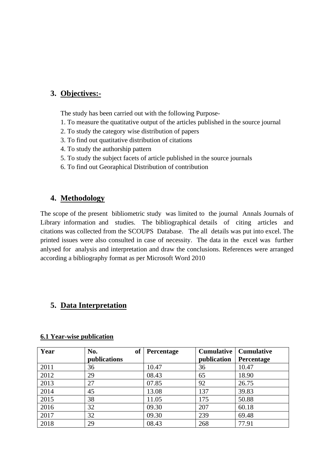### **3. Objectives:-**

The study has been carried out with the following Purpose-

- 1. To measure the quatitative output of the articles published in the source journal
- 2. To study the category wise distribution of papers
- 3. To find out quatitative distribution of citations
- 4. To study the authorship pattern
- 5. To study the subject facets of article published in the source journals
- 6. To find out Georaphical Distribution of contribution

### **4. Methodology**

The scope of the present bibliometric study was limited to the journal Annals Journals of Library information and studies. The bibliographical details of citing articles and citations was collected from the SCOUPS Database. The all details was put into excel. The printed issues were also consulted in case of necessity. The data in the excel was further anlysed for analysis and interpretation and draw the conclusions. References were arranged according a bibliography format as per Microsoft Word 2010

## **5. Data Interpretation**

| Year | No.<br>publications | <b>of</b> | Percentage | Cumulative  <br>publication | <b>Cumulative</b><br><b>Percentage</b> |
|------|---------------------|-----------|------------|-----------------------------|----------------------------------------|
| 2011 | 36                  |           | 10.47      | 36                          | 10.47                                  |
| 2012 | 29                  |           | 08.43      | 65                          | 18.90                                  |
| 2013 | 27                  |           | 07.85      | 92                          | 26.75                                  |
| 2014 | 45                  |           | 13.08      | 137                         | 39.83                                  |
| 2015 | 38                  |           | 11.05      | 175                         | 50.88                                  |
| 2016 | 32                  |           | 09.30      | 207                         | 60.18                                  |
| 2017 | 32                  |           | 09.30      | 239                         | 69.48                                  |
| 2018 | 29                  |           | 08.43      | 268                         | 77.91                                  |

#### **6.1 Year-wise publication**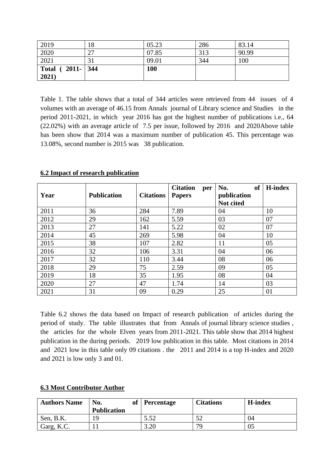| 2019              | 18 | 05.23      | 286 | 83.14 |
|-------------------|----|------------|-----|-------|
| 2020              | 27 | 07.85      | 313 | 90.99 |
| 2021              | 31 | 09.01      | 344 | 100   |
| Total (2011-1344) |    | <b>100</b> |     |       |
| 2021)             |    |            |     |       |

Table 1. The table shows that a total of 344 articles were retrieved from 44 issues of 4 volumes with an average of 46.15 from Annals journal of Library science and Studies in the period 2011-2021, in which year 2016 has got the highest number of publications i.e., 64 (22.02%) with an average article of 7.5 per issue, followed by 2016 and 2020Above table has been show that 2014 was a maximum number of publication 45. This percentage was 13.08%, second number is 2015 was 38 publication.

| Year | <b>Publication</b> | <b>Citations</b> | <b>Citation</b><br>per<br><b>Papers</b> | <b>of</b><br>No.<br>publication<br>Not cited | <b>H-index</b> |
|------|--------------------|------------------|-----------------------------------------|----------------------------------------------|----------------|
| 2011 | 36                 | 284              | 7.89                                    | 04                                           | 10             |
| 2012 | 29                 | 162              | 5.59                                    | 03                                           | 07             |
| 2013 | 27                 | 141              | 5.22                                    | 02                                           | 07             |
| 2014 | 45                 | 269              | 5.98                                    | 04                                           | 10             |
| 2015 | 38                 | 107              | 2.82                                    | 11                                           | 05             |
| 2016 | 32                 | 106              | 3.31                                    | 04                                           | 06             |
| 2017 | 32                 | 110              | 3.44                                    | 08                                           | 06             |
| 2018 | 29                 | 75               | 2.59                                    | 09                                           | 05             |
| 2019 | 18                 | 35               | 1.95                                    | 08                                           | 04             |
| 2020 | 27                 | 47               | 1.74                                    | 14                                           | 03             |
| 2021 | 31                 | 09               | 0.29                                    | 25                                           | 01             |

#### **6.2 Impact of research publication**

Table 6.2 shows the data based on Impact of research publication of articles during the period of study. The table illustrates that from Annals of journal library science studies , the articles for the whole Elven years from 2011-2021. This table show that 2014 highest publication in the during periods. 2019 low publication in this table. Most citations in 2014 and 2021 low in this table only 09 citations . the 2011 and 2014 is a top H-index and 2020 and 2021 is low only 3 and 01.

|  | <b>6.3 Most Contributor Author</b> |  |
|--|------------------------------------|--|
|  |                                    |  |

| <b>Authors Name</b> | No.<br>of<br><b>Publication</b> | <b>Percentage</b> | <b>Citations</b> | <b>H-index</b> |
|---------------------|---------------------------------|-------------------|------------------|----------------|
| Sen, B.K.           | ۱Q                              | 5.52              | 52               |                |
| Garg, K.C.          |                                 | ററ                | 70               | O5             |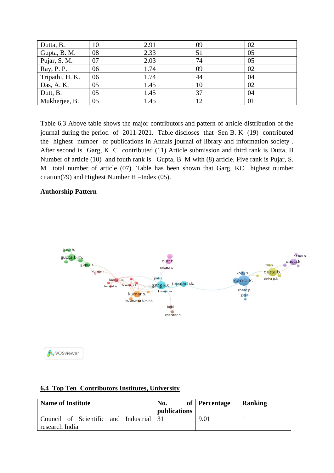| Dutta, B.       | 10 | 2.91 | 09 | 02 |
|-----------------|----|------|----|----|
| Gupta, B. M.    | 08 | 2.33 | 51 | 05 |
| Pujar, S. M.    | 07 | 2.03 | 74 | 05 |
| Ray, P. P.      | 06 | 1.74 | 09 | 02 |
| Tripathi, H. K. | 06 | 1.74 | 44 | 04 |
| Das, A. K.      | 05 | 1.45 | 10 | 02 |
| Dutt, B.        | 05 | 1.45 | 37 | 04 |
| Mukherjee, B.   | 05 | 1.45 |    | 01 |

Table 6.3 Above table shows the major contributors and pattern of article distribution of the journal during the period of 2011-2021. Table discloses that Sen B. K (19) contributed the highest number of publications in Annals journal of library and information society . After second is Garg, K. C contributed (11) Article submission and third rank is Dutta, B Number of article (10) and fouth rank is Gupta, B. M with (8) article. Five rank is Pujar, S. M total number of article (07). Table has been shown that Garg, KC highest number citation(79) and Highest Number H –Index (05).

#### **Authorship Pattern**



#### **6.4 Top Ten Contributors Institutes, University**

| <b>Name of Institute</b>                                  | No.<br>publications | of Percentage | <b>Ranking</b> |
|-----------------------------------------------------------|---------------------|---------------|----------------|
| Council of Scientific and Industrial 31<br>research India |                     | 9.01          |                |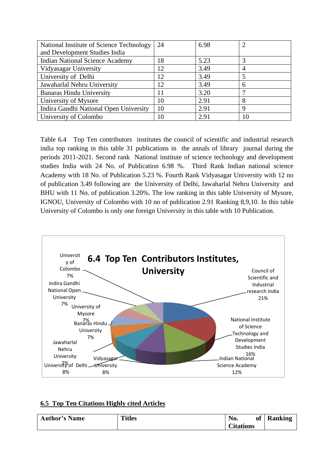| National Institute of Science Technology | 24 | 6.98 |    |
|------------------------------------------|----|------|----|
| and Development Studies India            |    |      |    |
| <b>Indian National Science Academy</b>   | 18 | 5.23 |    |
| Vidyasagar University                    | 12 | 3.49 | 4  |
| University of Delhi                      | 12 | 3.49 |    |
| Jawaharlal Nehru University              | 12 | 3.49 | 6  |
| <b>Banaras Hindu University</b>          | 11 | 3.20 |    |
| University of Mysore                     | 10 | 2.91 | 8  |
| Indira Gandhi National Open University   | 10 | 2.91 | 9  |
| University of Colombo                    | 10 | 2.91 | 10 |

Table 6.4 Top Ten contributors institutes the council of scientific and industrial research india top ranking in this table 31 publications in the annals of library journal during the periods 2011-2021. Second rank National institute of science technology and development studies India with 24 No. of Publication 6.98 %. Third Rank Indian national science Academy with 18 No. of Publication 5.23 %. Fourth Rank Vidyasagar University with 12 no of publication 3.49 following are the University of Delhi, Jawaharlal Nehru University and BHU with 11 No. of publication 3.20%. The low ranking in this table University of Mysore, IGNOU, University of Colombo with 10 no of publication 2.91 Ranking 8,9,10. In this table University of Colombo is only one foreign University in this table with 10 Publication.



### **6.5 Top Ten Citations Highly cited Articles**

| <b>Author's Name</b> | <b>Titles</b> | No.              | <b>of</b> | <b>Ranking</b> |
|----------------------|---------------|------------------|-----------|----------------|
|                      |               | <b>Citations</b> |           |                |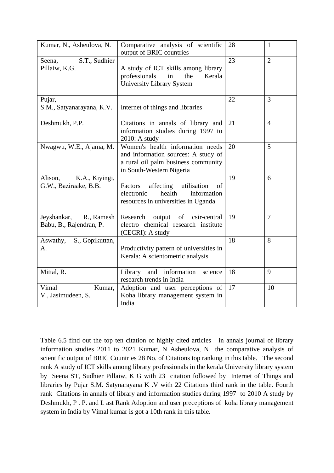| Kumar, N., Asheulova, N.                             | Comparative analysis of scientific<br>output of BRIC countries                                                                             | 28 | $\mathbf{1}$   |
|------------------------------------------------------|--------------------------------------------------------------------------------------------------------------------------------------------|----|----------------|
| S.T., Sudhier<br>Seena,<br>Pillaiw, K.G.             | A study of ICT skills among library<br>professionals<br>in<br>the<br>Kerala<br>University Library System                                   | 23 | $\overline{2}$ |
| Pujar,<br>S.M., Satyanarayana, K.V.                  | Internet of things and libraries                                                                                                           | 22 | 3              |
| Deshmukh, P.P.                                       | Citations in annals of library and<br>information studies during 1997 to<br>2010: A study                                                  | 21 | $\overline{4}$ |
| Nwagwu, W.E., Ajama, M.                              | Women's health information needs<br>and information sources: A study of<br>a rural oil palm business community<br>in South-Western Nigeria | 20 | 5              |
| K.A., Kiyingi,<br>Alison,<br>G.W., Baziraake, B.B.   | Factors<br>affecting<br>utilisation<br>of<br>health<br>electronic<br>information<br>resources in universities in Uganda                    | 19 | 6              |
| Jeyshankar,<br>R., Ramesh<br>Babu, B., Rajendran, P. | Research output of<br>csir-central<br>electro chemical research institute<br>(CECRI): A study                                              | 19 | $\tau$         |
| Aswathy,<br>S., Gopikuttan,<br>A.                    | Productivity pattern of universities in<br>Kerala: A scientometric analysis                                                                | 18 | 8              |
| Mittal, R.                                           | and information<br>Library<br>science<br>research trends in India                                                                          | 18 | 9              |
| Vimal<br>Kumar,<br>V., Jasimudeen, S.                | Adoption and user perceptions of<br>Koha library management system in<br>India                                                             | 17 | 10             |

Table 6.5 find out the top ten citation of highly cited articles in annals journal of library information studies 2011 to 2021 Kumar, N Asheulova, N the comparative analysis of scientific output of BRIC Countries 28 No. of Citations top ranking in this table. The second rank A study of ICT skills among library professionals in the kerala University library system by Seena ST, Sudhier Pillaiw, K G with 23 citation followed by Internet of Things and libraries by Pujar S.M. Satynarayana K .V with 22 Citations third rank in the table. Fourth rank Citations in annals of library and information studies during 1997 to 2010 A study by Deshmukh, P . P. and L ast Rank Adoption and user preceptions of koha library management system in India by Vimal kumar is got a 10th rank in this table.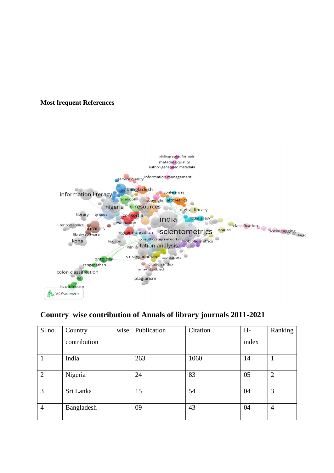#### **Most frequent References**



## **Country wise contribution of Annals of library journals 2011-2021**

| Sl no.         | Country      | wise | Publication | Citation | $H-$  | Ranking        |
|----------------|--------------|------|-------------|----------|-------|----------------|
|                | contribution |      |             |          | index |                |
|                | India        |      | 263         | 1060     | 14    |                |
| $\overline{2}$ | Nigeria      |      | 24          | 83       | 05    | 2              |
| 3              | Sri Lanka    |      | 15          | 54       | 04    | 3              |
| $\overline{4}$ | Bangladesh   |      | 09          | 43       | 04    | $\overline{4}$ |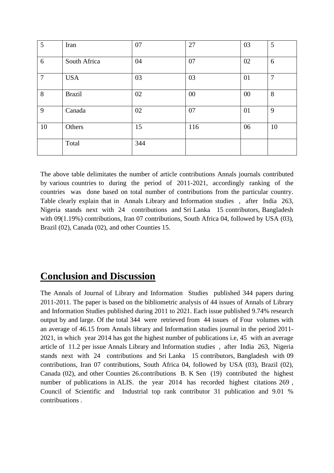| 5              | Iran          | 07  | 27  | 03 | 5              |
|----------------|---------------|-----|-----|----|----------------|
| 6              | South Africa  | 04  | 07  | 02 | 6              |
| $\overline{7}$ | <b>USA</b>    | 03  | 03  | 01 | $\overline{7}$ |
| 8              | <b>Brazil</b> | 02  | 00  | 00 | 8              |
| 9              | Canada        | 02  | 07  | 01 | 9              |
| 10             | Others        | 15  | 116 | 06 | 10             |
|                | Total         | 344 |     |    |                |

The above table delimitates the number of article contributions Annals journals contributed by various countries to during the period of 2011-2021, accordingly ranking of the countries was done based on total number of contributions from the particular country. Table clearly explain that in Annals Library and Information studies , after India 263, Nigeria stands next with 24 contributions and Sri Lanka 15 contributors, Bangladesh with 09(1.19%) contributions, Iran 07 contributions, South Africa 04, followed by USA (03), Brazil (02), Canada (02), and other Counties 15.

## **Conclusion and Discussion**

The Annals of Journal of Library and Information Studies published 344 papers during 2011-2011. The paper is based on the bibliometric analysis of 44 issues of Annals of Library and Information Studies published during 2011 to 2021. Each issue published 9.74% research output by and large. Of the total 344 were retrieved from 44 issues of Four volumes with an average of 46.15 from Annals library and Information studies journal in the period 2011- 2021, in which year 2014 has got the highest number of publications i.e, 45 with an average article of 11.2 per issue Annals Library and Information studies , after India 263, Nigeria stands next with 24 contributions and Sri Lanka 15 contributors, Bangladesh with 09 contributions, Iran 07 contributions, South Africa 04, followed by USA (03), Brazil (02), Canada (02), and other Counties 26.contributions B. K Sen (19) contributed the highest number of publications in ALIS. the year 2014 has recorded highest citations 269 , Council of Scientific and Industrial top rank contributor 31 publication and 9.01 % contribuations .